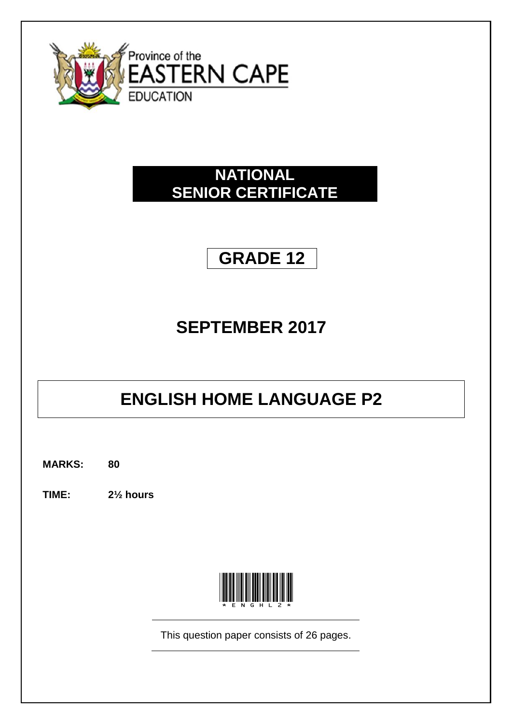

# **NATIONAL SENIOR CERTIFICATE**

# **GRADE 12**

# **SEPTEMBER 2017**

# **ENGLISH HOME LANGUAGE P2**

**MARKS: 80**

**TIME: 2½ hours**



This question paper consists of 26 pages.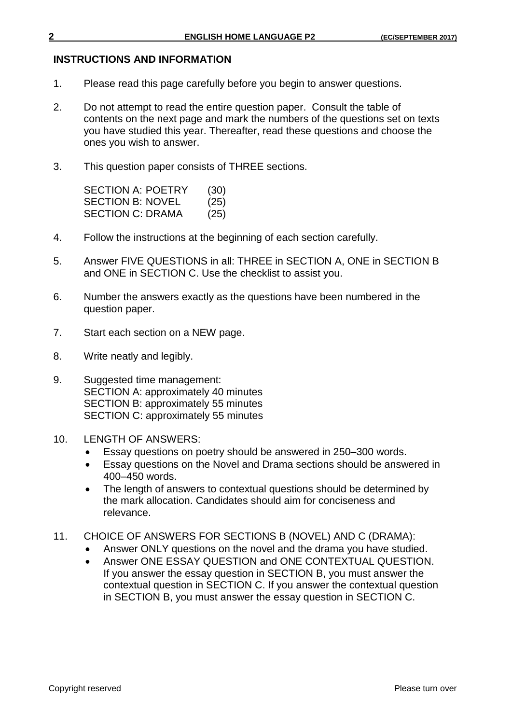#### **INSTRUCTIONS AND INFORMATION**

- 1. Please read this page carefully before you begin to answer questions.
- 2. Do not attempt to read the entire question paper. Consult the table of contents on the next page and mark the numbers of the questions set on texts you have studied this year. Thereafter, read these questions and choose the ones you wish to answer.
- 3. This question paper consists of THREE sections.

SECTION A: POETRY (30) SECTION B: NOVEL (25) SECTION C: DRAMA (25)

- 4. Follow the instructions at the beginning of each section carefully.
- 5. Answer FIVE QUESTIONS in all: THREE in SECTION A, ONE in SECTION B and ONE in SECTION C. Use the checklist to assist you.
- 6. Number the answers exactly as the questions have been numbered in the question paper.
- 7. Start each section on a NEW page.
- 8. Write neatly and legibly.
- 9. Suggested time management: SECTION A: approximately 40 minutes SECTION B: approximately 55 minutes SECTION C: approximately 55 minutes
- 10. LENGTH OF ANSWERS:
	- Essay questions on poetry should be answered in 250–300 words.
	- Essay questions on the Novel and Drama sections should be answered in 400–450 words.
	- The length of answers to contextual questions should be determined by the mark allocation. Candidates should aim for conciseness and relevance.
- 11. CHOICE OF ANSWERS FOR SECTIONS B (NOVEL) AND C (DRAMA):
	- Answer ONLY questions on the novel and the drama you have studied.
	- Answer ONE ESSAY QUESTION and ONE CONTEXTUAL QUESTION. If you answer the essay question in SECTION B, you must answer the contextual question in SECTION C. If you answer the contextual question in SECTION B, you must answer the essay question in SECTION C.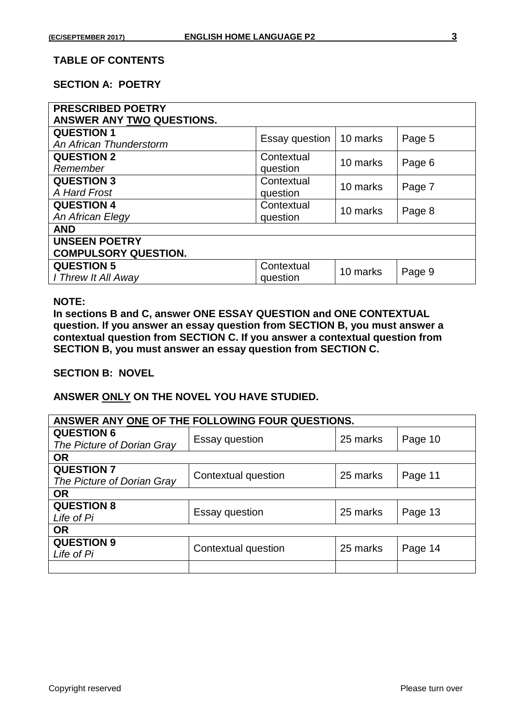#### **TABLE OF CONTENTS**

#### **SECTION A: POETRY**

| <b>PRESCRIBED POETRY</b><br>ANSWER ANY TWO QUESTIONS. |                        |          |        |
|-------------------------------------------------------|------------------------|----------|--------|
| <b>QUESTION 1</b><br>An African Thunderstorm          | Essay question         | 10 marks | Page 5 |
| <b>QUESTION 2</b><br>Remember                         | Contextual<br>question | 10 marks | Page 6 |
| <b>QUESTION 3</b><br>A Hard Frost                     | Contextual<br>question | 10 marks | Page 7 |
| <b>QUESTION 4</b><br>An African Elegy                 | Contextual<br>question | 10 marks | Page 8 |
| <b>AND</b>                                            |                        |          |        |
| <b>UNSEEN POETRY</b><br><b>COMPULSORY QUESTION.</b>   |                        |          |        |
| <b>QUESTION 5</b><br>I Threw It All Away              | Contextual<br>question | 10 marks | Page 9 |

#### **NOTE:**

**In sections B and C, answer ONE ESSAY QUESTION and ONE CONTEXTUAL question. If you answer an essay question from SECTION B, you must answer a contextual question from SECTION C. If you answer a contextual question from SECTION B, you must answer an essay question from SECTION C.**

#### **SECTION B: NOVEL**

#### **ANSWER ONLY ON THE NOVEL YOU HAVE STUDIED.**

| ANSWER ANY ONE OF THE FOLLOWING FOUR QUESTIONS. |                     |          |         |  |
|-------------------------------------------------|---------------------|----------|---------|--|
| <b>QUESTION 6</b><br>The Picture of Dorian Gray | Essay question      | 25 marks | Page 10 |  |
| <b>OR</b>                                       |                     |          |         |  |
| <b>QUESTION 7</b><br>The Picture of Dorian Gray | Contextual question | 25 marks | Page 11 |  |
| <b>OR</b>                                       |                     |          |         |  |
| <b>QUESTION 8</b><br>Life of Pi                 | Essay question      | 25 marks | Page 13 |  |
| <b>OR</b>                                       |                     |          |         |  |
| <b>QUESTION 9</b><br>Life of Pi                 | Contextual question | 25 marks | Page 14 |  |
|                                                 |                     |          |         |  |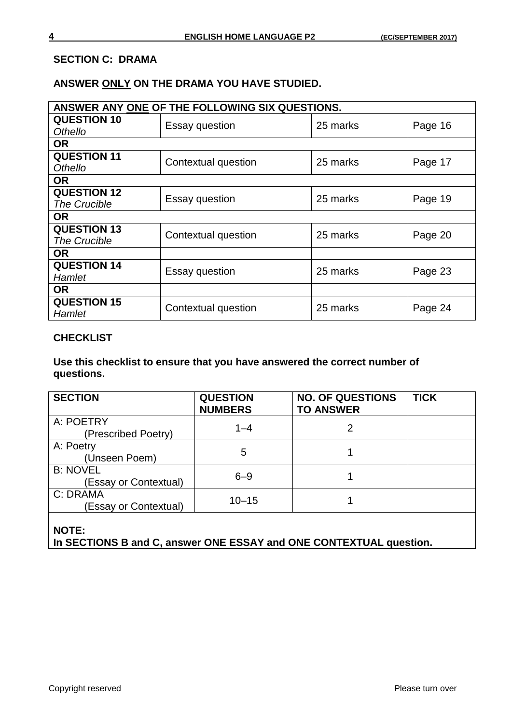#### **SECTION C: DRAMA**

# **ANSWER ONLY ON THE DRAMA YOU HAVE STUDIED.**

| ANSWER ANY ONE OF THE FOLLOWING SIX QUESTIONS. |                     |          |         |
|------------------------------------------------|---------------------|----------|---------|
| <b>QUESTION 10</b><br>Othello                  | Essay question      | 25 marks | Page 16 |
| <b>OR</b>                                      |                     |          |         |
| <b>QUESTION 11</b><br>Othello                  | Contextual question | 25 marks | Page 17 |
| <b>OR</b>                                      |                     |          |         |
| <b>QUESTION 12</b><br>The Crucible             | Essay question      | 25 marks | Page 19 |
| <b>OR</b>                                      |                     |          |         |
| <b>QUESTION 13</b><br>The Crucible             | Contextual question | 25 marks | Page 20 |
| <b>OR</b>                                      |                     |          |         |
| <b>QUESTION 14</b><br><b>Hamlet</b>            | Essay question      | 25 marks | Page 23 |
| <b>OR</b>                                      |                     |          |         |
| <b>QUESTION 15</b><br>Hamlet                   | Contextual question | 25 marks | Page 24 |

#### **CHECKLIST**

### **Use this checklist to ensure that you have answered the correct number of questions.**

| <b>SECTION</b>                           | <b>QUESTION</b><br><b>NUMBERS</b> | <b>NO. OF QUESTIONS</b><br><b>TO ANSWER</b> | <b>TICK</b> |
|------------------------------------------|-----------------------------------|---------------------------------------------|-------------|
| A: POETRY<br>(Prescribed Poetry)         | $1 - 4$                           | 2                                           |             |
| A: Poetry<br>(Unseen Poem)               | 5                                 |                                             |             |
| <b>B: NOVEL</b><br>(Essay or Contextual) | $6 - 9$                           |                                             |             |
| C: DRAMA<br>(Essay or Contextual)        | $10 - 15$                         |                                             |             |
|                                          |                                   |                                             |             |

#### **NOTE:**

**In SECTIONS B and C, answer ONE ESSAY and ONE CONTEXTUAL question.**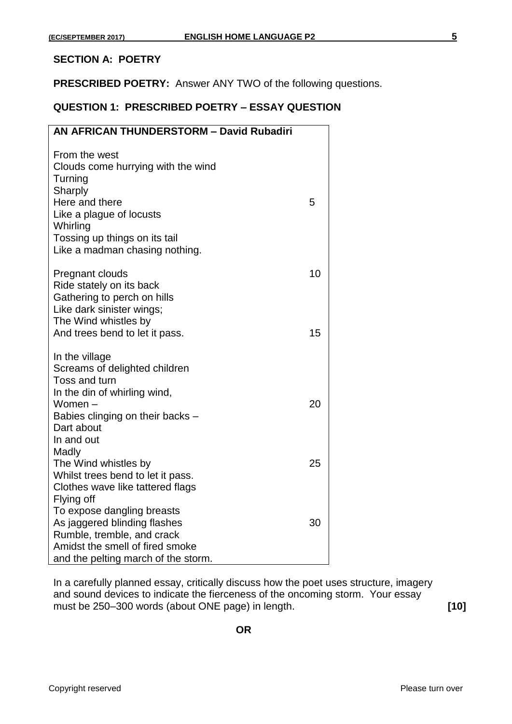#### **SECTION A: POETRY**

**PRESCRIBED POETRY:** Answer ANY TWO of the following questions.

#### **QUESTION 1: PRESCRIBED POETRY – ESSAY QUESTION**

| <b>AN AFRICAN THUNDERSTORM - David Rubadiri</b>                                                                                                                                                        |          |
|--------------------------------------------------------------------------------------------------------------------------------------------------------------------------------------------------------|----------|
| From the west<br>Clouds come hurrying with the wind<br>Turning<br>Sharply<br>Here and there<br>Like a plague of locusts<br>Whirling<br>Tossing up things on its tail<br>Like a madman chasing nothing. | 5        |
| Pregnant clouds<br>Ride stately on its back<br>Gathering to perch on hills<br>Like dark sinister wings;<br>The Wind whistles by<br>And trees bend to let it pass.                                      | 10<br>15 |
| In the village<br>Screams of delighted children<br>Toss and turn<br>In the din of whirling wind,<br>Women –<br>Babies clinging on their backs -<br>Dart about<br>In and out                            | 20       |
| Madly<br>The Wind whistles by<br>Whilst trees bend to let it pass.<br>Clothes wave like tattered flags<br>Flying off                                                                                   | 25       |
| To expose dangling breasts<br>As jaggered blinding flashes<br>Rumble, tremble, and crack<br>Amidst the smell of fired smoke<br>and the pelting march of the storm.                                     | 30       |

In a carefully planned essay, critically discuss how the poet uses structure, imagery and sound devices to indicate the fierceness of the oncoming storm. Your essay must be 250–300 words (about ONE page) in length. **[10]**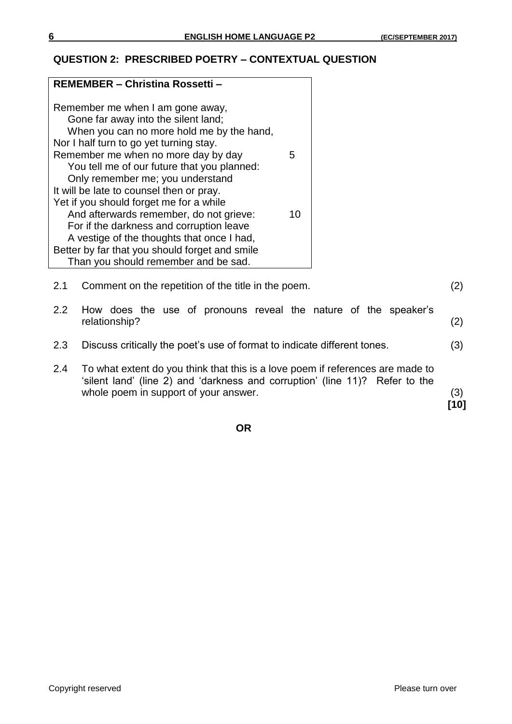#### **QUESTION 2: PRESCRIBED POETRY – CONTEXTUAL QUESTION**

# **REMEMBER – Christina Rossetti –**

| Remember me when I am gone away,<br>Gone far away into the silent land;<br>When you can no more hold me by the hand, |   |
|----------------------------------------------------------------------------------------------------------------------|---|
| Nor I half turn to go yet turning stay.                                                                              |   |
| Remember me when no more day by day                                                                                  | 5 |
| You tell me of our future that you planned:                                                                          |   |
| Only remember me; you understand                                                                                     |   |
| It will be late to counsel then or pray.                                                                             |   |
| Yet if you should forget me for a while                                                                              |   |
| And afterwards remember, do not grieve:                                                                              |   |
| For if the darkness and corruption leave                                                                             |   |
| A vestige of the thoughts that once I had,                                                                           |   |
| Better by far that you should forget and smile                                                                       |   |
| Than you should remember and be sad.                                                                                 |   |

| 2.1     | Comment on the repetition of the title in the poem.                                                                                                                                                     | $\left( 2\right)$ |
|---------|---------------------------------------------------------------------------------------------------------------------------------------------------------------------------------------------------------|-------------------|
| $2.2\,$ | How does the use of pronouns reveal the nature of the speaker's<br>relationship?                                                                                                                        | (2)               |
| 2.3     | Discuss critically the poet's use of format to indicate different tones.                                                                                                                                | (3)               |
| 2.4     | To what extent do you think that this is a love poem if references are made to<br>'silent land' (line 2) and 'darkness and corruption' (line 11)? Refer to the<br>whole poem in support of your answer. | (3)<br>[10]       |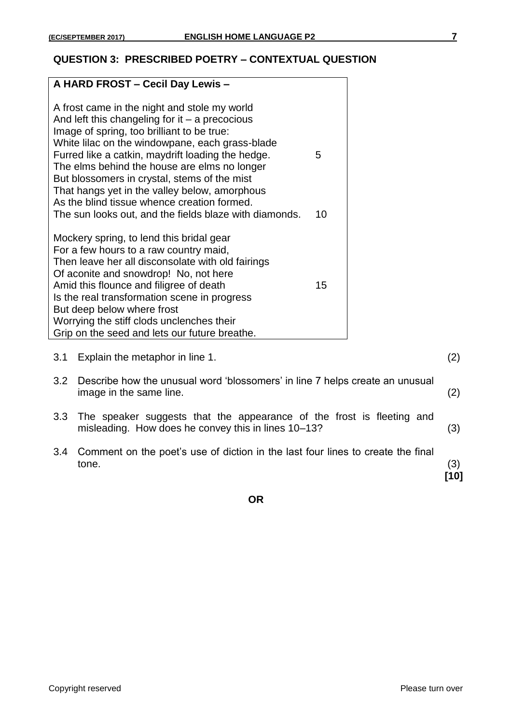#### **QUESTION 3: PRESCRIBED POETRY – CONTEXTUAL QUESTION**

|     | A HARD FROST - Cecil Day Lewis -                                                                                                                                                                                                                                                                                                                                                                                                                                                                                 |         |               |
|-----|------------------------------------------------------------------------------------------------------------------------------------------------------------------------------------------------------------------------------------------------------------------------------------------------------------------------------------------------------------------------------------------------------------------------------------------------------------------------------------------------------------------|---------|---------------|
|     | A frost came in the night and stole my world<br>And left this changeling for it $-$ a precocious<br>Image of spring, too brilliant to be true:<br>White lilac on the windowpane, each grass-blade<br>Furred like a catkin, maydrift loading the hedge.<br>The elms behind the house are elms no longer<br>But blossomers in crystal, stems of the mist<br>That hangs yet in the valley below, amorphous<br>As the blind tissue whence creation formed.<br>The sun looks out, and the fields blaze with diamonds. | 5<br>10 |               |
|     | Mockery spring, to lend this bridal gear<br>For a few hours to a raw country maid,<br>Then leave her all disconsolate with old fairings<br>Of aconite and snowdrop! No, not here<br>Amid this flounce and filigree of death<br>Is the real transformation scene in progress<br>But deep below where frost<br>Worrying the stiff clods unclenches their<br>Grip on the seed and lets our future breathe.                                                                                                          | 15      |               |
| 3.1 | Explain the metaphor in line 1.                                                                                                                                                                                                                                                                                                                                                                                                                                                                                  |         | (2)           |
| 3.2 | Describe how the unusual word 'blossomers' in line 7 helps create an unusual<br>image in the same line.                                                                                                                                                                                                                                                                                                                                                                                                          |         | (2)           |
| 3.3 | The speaker suggests that the appearance of the frost is fleeting and<br>misleading. How does he convey this in lines 10-13?                                                                                                                                                                                                                                                                                                                                                                                     |         | (3)           |
| 3.4 | Comment on the poet's use of diction in the last four lines to create the final<br>tone.                                                                                                                                                                                                                                                                                                                                                                                                                         |         | (3)<br>$[10]$ |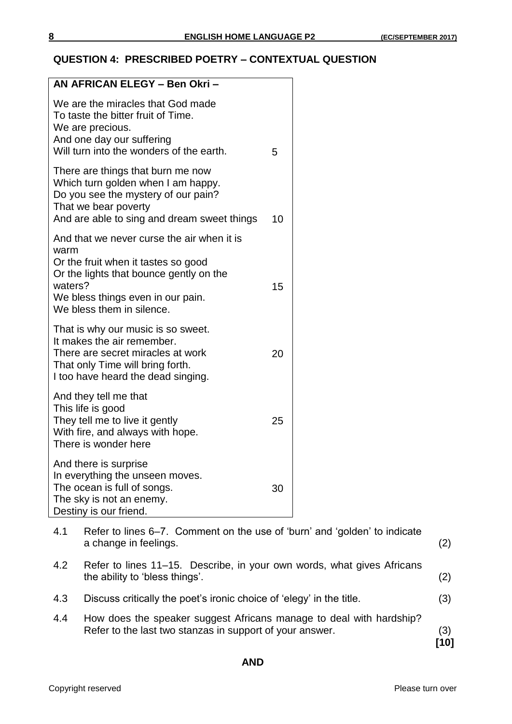# **QUESTION 4: PRESCRIBED POETRY – CONTEXTUAL QUESTION**

| AN AFRICAN ELEGY - Ben Okri -                                                                                                                                                                                     |    |
|-------------------------------------------------------------------------------------------------------------------------------------------------------------------------------------------------------------------|----|
| We are the miracles that God made<br>To taste the bitter fruit of Time.<br>We are precious.<br>And one day our suffering<br>Will turn into the wonders of the earth.                                              | 5  |
| There are things that burn me now<br>Which turn golden when I am happy.<br>Do you see the mystery of our pain?<br>That we bear poverty<br>And are able to sing and dream sweet things                             | 10 |
| And that we never curse the air when it is<br>warm<br>Or the fruit when it tastes so good<br>Or the lights that bounce gently on the<br>waters?<br>We bless things even in our pain.<br>We bless them in silence. | 15 |
| That is why our music is so sweet.<br>It makes the air remember.<br>There are secret miracles at work<br>That only Time will bring forth.<br>I too have heard the dead singing.                                   | 20 |
| And they tell me that<br>This life is good<br>They tell me to live it gently<br>With fire, and always with hope.<br>There is wonder here                                                                          | 25 |
| And there is surprise<br>In everything the unseen moves.<br>The ocean is full of songs.<br>The sky is not an enemy.<br>Destiny is our friend.                                                                     | 30 |

| 4.1 | Refer to lines 6–7. Comment on the use of 'burn' and 'golden' to indicate<br>a change in feelings.                              | (2)         |
|-----|---------------------------------------------------------------------------------------------------------------------------------|-------------|
| 4.2 | Refer to lines 11–15. Describe, in your own words, what gives Africans<br>the ability to 'bless things'.                        | (2)         |
| 4.3 | Discuss critically the poet's ironic choice of 'elegy' in the title.                                                            | (3)         |
| 4.4 | How does the speaker suggest Africans manage to deal with hardship?<br>Refer to the last two stanzas in support of your answer. | (3)<br>้101 |

#### **AND**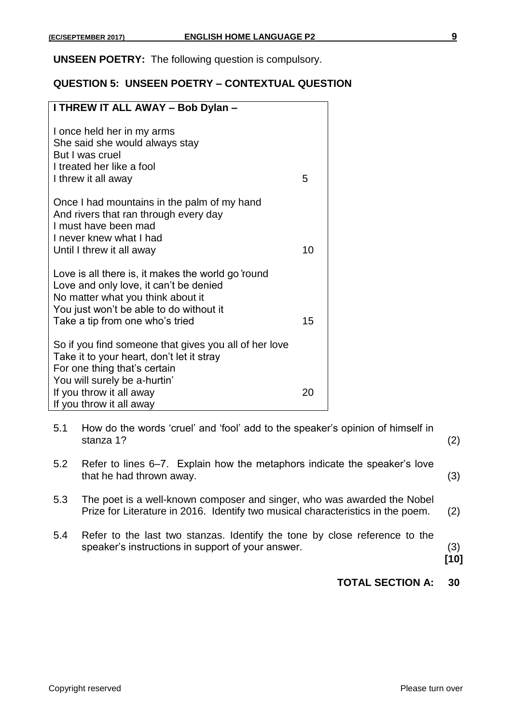**UNSEEN POETRY:** The following question is compulsory.

#### **QUESTION 5: UNSEEN POETRY – CONTEXTUAL QUESTION**

| I THREW IT ALL AWAY - Bob Dylan -                                                                                                                                                                                          |    |
|----------------------------------------------------------------------------------------------------------------------------------------------------------------------------------------------------------------------------|----|
| I once held her in my arms<br>She said she would always stay<br>But I was cruel<br>I treated her like a fool<br>I threw it all away                                                                                        | 5  |
| Once I had mountains in the palm of my hand<br>And rivers that ran through every day<br>I must have been mad<br>I never knew what I had<br>Until I threw it all away                                                       | 10 |
| Love is all there is, it makes the world go round<br>Love and only love, it can't be denied<br>No matter what you think about it<br>You just won't be able to do without it<br>Take a tip from one who's tried             | 15 |
| So if you find someone that gives you all of her love<br>Take it to your heart, don't let it stray<br>For one thing that's certain<br>You will surely be a-hurtin'<br>If you throw it all away<br>If you throw it all away | 20 |

- 5.1 How do the words 'cruel' and 'fool' add to the speaker's opinion of himself in stanza 1? (2)
- 5.2 Refer to lines 6–7. Explain how the metaphors indicate the speaker's love that he had thrown away. (3)
- 5.3 The poet is a well-known composer and singer, who was awarded the Nobel Prize for Literature in 2016. Identify two musical characteristics in the poem. (2)
- 5.4 Refer to the last two stanzas. Identify the tone by close reference to the speaker's instructions in support of your answer. (3)

**[10]**

#### **TOTAL SECTION A: 30**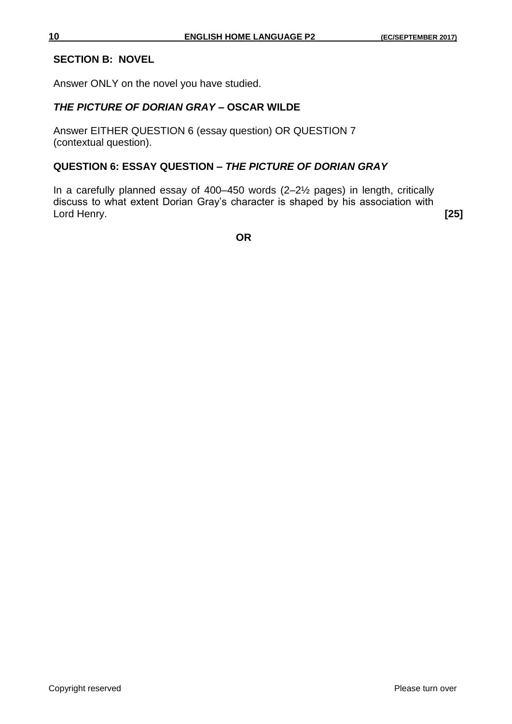#### **SECTION B: NOVEL**

Answer ONLY on the novel you have studied.

#### *THE PICTURE OF DORIAN GRAY* **– OSCAR WILDE**

Answer EITHER QUESTION 6 (essay question) OR QUESTION 7 (contextual question).

#### **QUESTION 6: ESSAY QUESTION –** *THE PICTURE OF DORIAN GRAY*

In a carefully planned essay of 400–450 words (2–2½ pages) in length, critically discuss to what extent Dorian Gray's character is shaped by his association with Lord Henry. **[25]**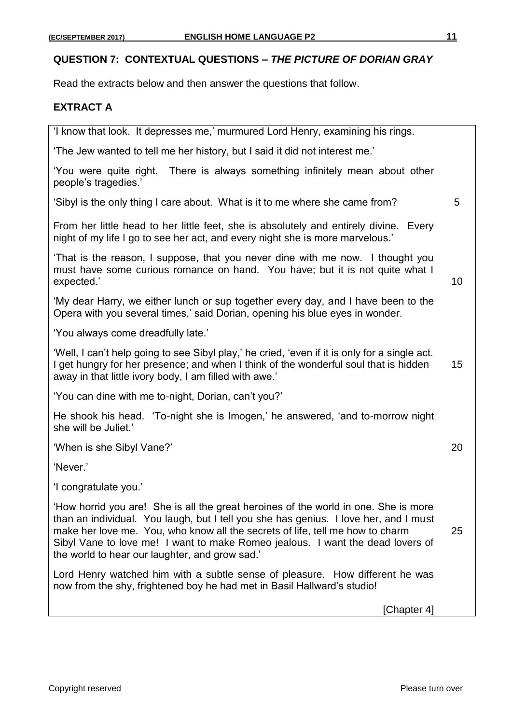#### **QUESTION 7: CONTEXTUAL QUESTIONS –** *THE PICTURE OF DORIAN GRAY*

Read the extracts below and then answer the questions that follow.

#### **EXTRACT A**

| 'I know that look. It depresses me,' murmured Lord Henry, examining his rings.                                                                                                                                                                                                                                                                                                                   |    |
|--------------------------------------------------------------------------------------------------------------------------------------------------------------------------------------------------------------------------------------------------------------------------------------------------------------------------------------------------------------------------------------------------|----|
| 'The Jew wanted to tell me her history, but I said it did not interest me.'                                                                                                                                                                                                                                                                                                                      |    |
| 'You were quite right.<br>There is always something infinitely mean about other<br>people's tragedies.'                                                                                                                                                                                                                                                                                          |    |
| 'Sibyl is the only thing I care about. What is it to me where she came from?                                                                                                                                                                                                                                                                                                                     | 5  |
| From her little head to her little feet, she is absolutely and entirely divine. Every<br>night of my life I go to see her act, and every night she is more marvelous.'                                                                                                                                                                                                                           |    |
| 'That is the reason, I suppose, that you never dine with me now. I thought you<br>must have some curious romance on hand. You have; but it is not quite what I<br>expected.'                                                                                                                                                                                                                     | 10 |
| 'My dear Harry, we either lunch or sup together every day, and I have been to the<br>Opera with you several times,' said Dorian, opening his blue eyes in wonder.                                                                                                                                                                                                                                |    |
| 'You always come dreadfully late.'                                                                                                                                                                                                                                                                                                                                                               |    |
| 'Well, I can't help going to see Sibyl play,' he cried, 'even if it is only for a single act.<br>I get hungry for her presence; and when I think of the wonderful soul that is hidden<br>away in that little ivory body, I am filled with awe.'                                                                                                                                                  | 15 |
| 'You can dine with me to-night, Dorian, can't you?'                                                                                                                                                                                                                                                                                                                                              |    |
| He shook his head. 'To-night she is Imogen,' he answered, 'and to-morrow night<br>she will be Juliet.'                                                                                                                                                                                                                                                                                           |    |
| 'When is she Sibyl Vane?'                                                                                                                                                                                                                                                                                                                                                                        | 20 |
| 'Never.'                                                                                                                                                                                                                                                                                                                                                                                         |    |
| 'I congratulate you.'                                                                                                                                                                                                                                                                                                                                                                            |    |
| 'How horrid you are! She is all the great heroines of the world in one. She is more<br>than an individual. You laugh, but I tell you she has genius. I love her, and I must<br>make her love me. You, who know all the secrets of life, tell me how to charm<br>Sibyl Vane to love me! I want to make Romeo jealous. I want the dead lovers of<br>the world to hear our laughter, and grow sad.' | 25 |
| Lord Henry watched him with a subtle sense of pleasure. How different he was<br>now from the shy, frightened boy he had met in Basil Hallward's studio!                                                                                                                                                                                                                                          |    |
| [Chapter 4]                                                                                                                                                                                                                                                                                                                                                                                      |    |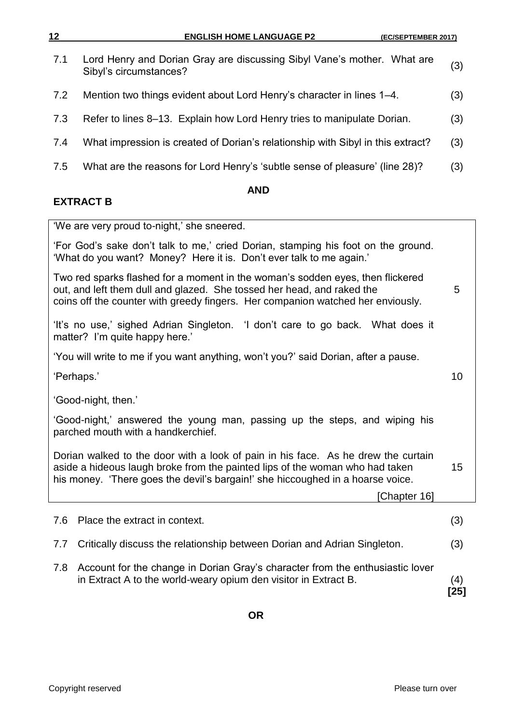| 7.1                                                                                                                                                                                                                                         | Lord Henry and Dorian Gray are discussing Sibyl Vane's mother. What are<br>Sibyl's circumstances?                                                                                                                                                   | (3)         |
|---------------------------------------------------------------------------------------------------------------------------------------------------------------------------------------------------------------------------------------------|-----------------------------------------------------------------------------------------------------------------------------------------------------------------------------------------------------------------------------------------------------|-------------|
| 7.2                                                                                                                                                                                                                                         | Mention two things evident about Lord Henry's character in lines 1–4.                                                                                                                                                                               | (3)         |
| 7.3                                                                                                                                                                                                                                         | Refer to lines 8–13. Explain how Lord Henry tries to manipulate Dorian.                                                                                                                                                                             | (3)         |
| 7.4                                                                                                                                                                                                                                         | What impression is created of Dorian's relationship with Sibyl in this extract?                                                                                                                                                                     | (3)         |
| 7.5                                                                                                                                                                                                                                         | What are the reasons for Lord Henry's 'subtle sense of pleasure' (line 28)?                                                                                                                                                                         | (3)         |
|                                                                                                                                                                                                                                             | <b>AND</b>                                                                                                                                                                                                                                          |             |
|                                                                                                                                                                                                                                             | <b>EXTRACT B</b>                                                                                                                                                                                                                                    |             |
|                                                                                                                                                                                                                                             | 'We are very proud to-night,' she sneered.                                                                                                                                                                                                          |             |
|                                                                                                                                                                                                                                             | 'For God's sake don't talk to me,' cried Dorian, stamping his foot on the ground.<br>'What do you want? Money? Here it is. Don't ever talk to me again.'                                                                                            |             |
| Two red sparks flashed for a moment in the woman's sodden eyes, then flickered<br>out, and left them dull and glazed. She tossed her head, and raked the<br>coins off the counter with greedy fingers. Her companion watched her enviously. |                                                                                                                                                                                                                                                     | 5           |
|                                                                                                                                                                                                                                             | 'It's no use,' sighed Adrian Singleton. 'I don't care to go back. What does it<br>matter? I'm quite happy here.'                                                                                                                                    |             |
|                                                                                                                                                                                                                                             | 'You will write to me if you want anything, won't you?' said Dorian, after a pause.                                                                                                                                                                 |             |
|                                                                                                                                                                                                                                             | 'Perhaps.'                                                                                                                                                                                                                                          | 10          |
|                                                                                                                                                                                                                                             | 'Good-night, then.'                                                                                                                                                                                                                                 |             |
|                                                                                                                                                                                                                                             | 'Good-night,' answered the young man, passing up the steps, and wiping his<br>parched mouth with a handkerchief.                                                                                                                                    |             |
|                                                                                                                                                                                                                                             | Dorian walked to the door with a look of pain in his face. As he drew the curtain<br>aside a hideous laugh broke from the painted lips of the woman who had taken<br>his money. 'There goes the devil's bargain!' she hiccoughed in a hoarse voice. | 15          |
|                                                                                                                                                                                                                                             | [Chapter 16]                                                                                                                                                                                                                                        |             |
| 7.6                                                                                                                                                                                                                                         | Place the extract in context.                                                                                                                                                                                                                       | (3)         |
| 7.7                                                                                                                                                                                                                                         | Critically discuss the relationship between Dorian and Adrian Singleton.                                                                                                                                                                            | (3)         |
| 7.8                                                                                                                                                                                                                                         | Account for the change in Dorian Gray's character from the enthusiastic lover<br>in Extract A to the world-weary opium den visitor in Extract B.                                                                                                    | (4)<br>[25] |

**12 ENGLISH HOME LANGUAGE P2 (EC/SEPTEMBER 2017)**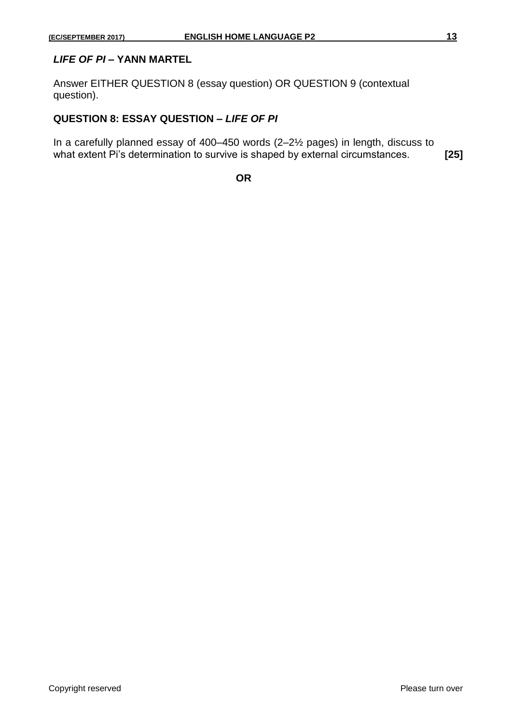Answer EITHER QUESTION 8 (essay question) OR QUESTION 9 (contextual question).

#### **QUESTION 8: ESSAY QUESTION –** *LIFE OF PI*

In a carefully planned essay of 400–450 words (2–2½ pages) in length, discuss to what extent Pi's determination to survive is shaped by external circumstances. **[25]**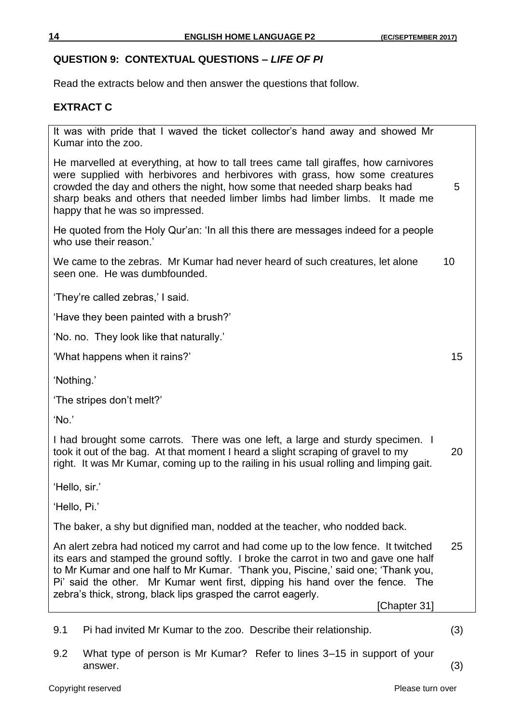#### **QUESTION 9: CONTEXTUAL QUESTIONS –** *LIFE OF PI*

Read the extracts below and then answer the questions that follow.

# **EXTRACT C**

It was with pride that I waved the ticket collector's hand away and showed Mr Kumar into the zoo.

He marvelled at everything, at how to tall trees came tall giraffes, how carnivores were supplied with herbivores and herbivores with grass, how some creatures crowded the day and others the night, how some that needed sharp beaks had  $5$ sharp beaks and others that needed limber limbs had limber limbs. It made me happy that he was so impressed.

He quoted from the Holy Qur'an: 'In all this there are messages indeed for a people who use their reason.'

We came to the zebras. Mr Kumar had never heard of such creatures, let alone 10 seen one. He was dumbfounded.

'They're called zebras,' I said.

'Have they been painted with a brush?'

'No. no. They look like that naturally.'

'What happens when it rains?' 15

'Nothing.'

'The stripes don't melt?'

'No.'

I had brought some carrots. There was one left, a large and sturdy specimen. I took it out of the bag. At that moment I heard a slight scraping of gravel to my 20 right. It was Mr Kumar, coming up to the railing in his usual rolling and limping gait.

'Hello, sir.'

'Hello, Pi.'

The baker, a shy but dignified man, nodded at the teacher, who nodded back.

An alert zebra had noticed my carrot and had come up to the low fence. It twitched 25 its ears and stamped the ground softly. I broke the carrot in two and gave one half to Mr Kumar and one half to Mr Kumar. 'Thank you, Piscine,' said one; 'Thank you, Pi' said the other. Mr Kumar went first, dipping his hand over the fence. The zebra's thick, strong, black lips grasped the carrot eagerly.

[Chapter 31]

| 9.1 | Pi had invited Mr Kumar to the zoo. Describe their relationship. |  | (3) |
|-----|------------------------------------------------------------------|--|-----|
|-----|------------------------------------------------------------------|--|-----|

9.2 What type of person is Mr Kumar? Refer to lines 3–15 in support of your answer. (3)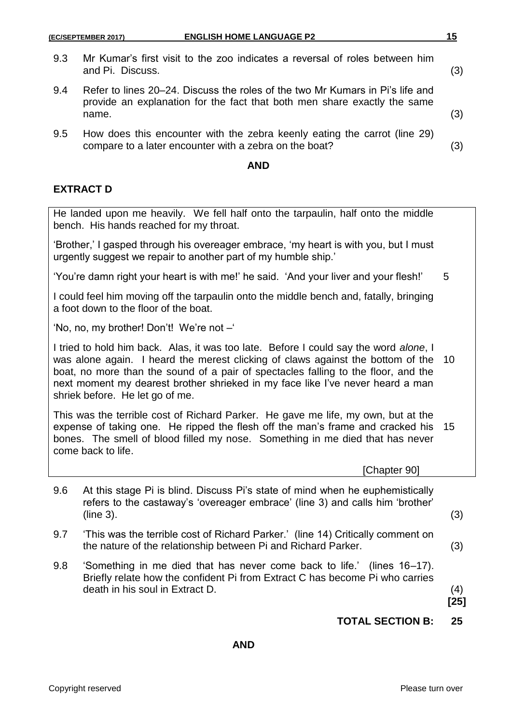- 9.3 Mr Kumar's first visit to the zoo indicates a reversal of roles between him and Pi. Discuss. (3)
- 9.4 Refer to lines 20–24. Discuss the roles of the two Mr Kumars in Pi's life and provide an explanation for the fact that both men share exactly the same name.  $(3)$
- 9.5 How does this encounter with the zebra keenly eating the carrot (line 29) compare to a later encounter with a zebra on the boat? (3)

#### **AND**

# **EXTRACT D**

He landed upon me heavily. We fell half onto the tarpaulin, half onto the middle bench. His hands reached for my throat.

'Brother,' I gasped through his overeager embrace, 'my heart is with you, but I must urgently suggest we repair to another part of my humble ship.'

'You're damn right your heart is with me!' he said. 'And your liver and your flesh!' 5

I could feel him moving off the tarpaulin onto the middle bench and, fatally, bringing a foot down to the floor of the boat.

'No, no, my brother! Don't! We're not –'

I tried to hold him back. Alas, it was too late. Before I could say the word *alone*, I was alone again. I heard the merest clicking of claws against the bottom of the boat, no more than the sound of a pair of spectacles falling to the floor, and the next moment my dearest brother shrieked in my face like I've never heard a man shriek before. He let go of me. 10

This was the terrible cost of Richard Parker. He gave me life, my own, but at the expense of taking one. He ripped the flesh off the man's frame and cracked his bones. The smell of blood filled my nose. Something in me died that has never come back to life. 15

[Chapter 90]

- 9.6 At this stage Pi is blind. Discuss Pi's state of mind when he euphemistically refers to the castaway's 'overeager embrace' (line 3) and calls him 'brother'  $(\text{line 3}).$  (3)
- 9.7 'This was the terrible cost of Richard Parker.' (line 14) Critically comment on the nature of the relationship between Pi and Richard Parker. (3)
- 9.8 'Something in me died that has never come back to life.' (lines 16–17). Briefly relate how the confident Pi from Extract C has become Pi who carries death in his soul in Extract D. (4)

**[25]**

#### **TOTAL SECTION B: 25**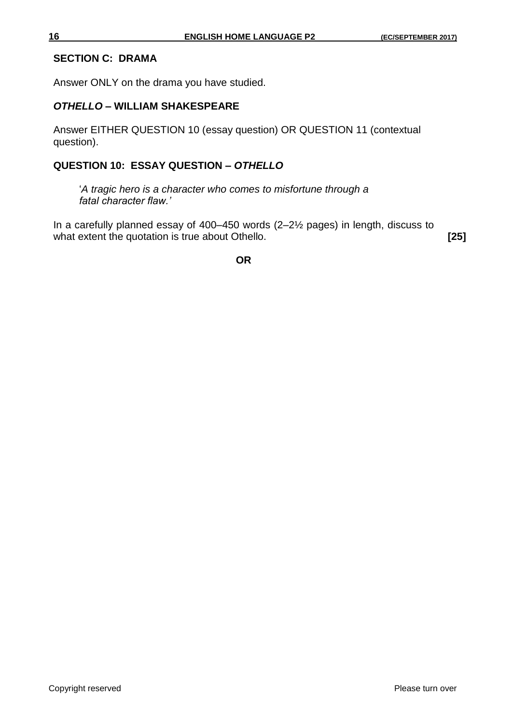#### **SECTION C: DRAMA**

Answer ONLY on the drama you have studied.

#### *OTHELLO* **– WILLIAM SHAKESPEARE**

Answer EITHER QUESTION 10 (essay question) OR QUESTION 11 (contextual question).

#### **QUESTION 10: ESSAY QUESTION –** *OTHELLO*

'*A tragic hero is a character who comes to misfortune through a fatal character flaw.'*

In a carefully planned essay of 400–450 words (2–2½ pages) in length, discuss to what extent the quotation is true about Othello. **[25]**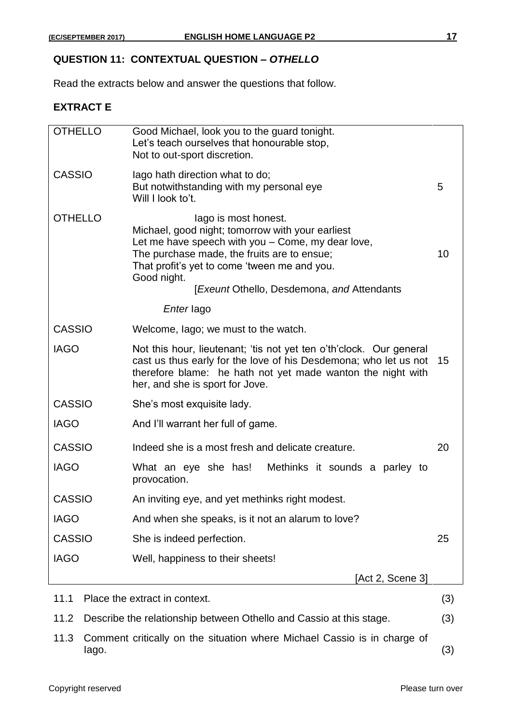#### **QUESTION 11: CONTEXTUAL QUESTION –** *OTHELLO*

Read the extracts below and answer the questions that follow.

### **EXTRACT E**

| <b>OTHELLO</b> | Good Michael, look you to the guard tonight.<br>Let's teach ourselves that honourable stop,<br>Not to out-sport discretion.                                                                                                                                                                 |     |
|----------------|---------------------------------------------------------------------------------------------------------------------------------------------------------------------------------------------------------------------------------------------------------------------------------------------|-----|
| <b>CASSIO</b>  | lago hath direction what to do;<br>But notwithstanding with my personal eye<br>Will I look to't.                                                                                                                                                                                            | 5   |
| <b>OTHELLO</b> | lago is most honest.<br>Michael, good night; tomorrow with your earliest<br>Let me have speech with you $-$ Come, my dear love,<br>The purchase made, the fruits are to ensue;<br>That profit's yet to come 'tween me and you.<br>Good night.<br>[Exeunt Othello, Desdemona, and Attendants | 10  |
|                | Enter lago                                                                                                                                                                                                                                                                                  |     |
| <b>CASSIO</b>  | Welcome, lago; we must to the watch.                                                                                                                                                                                                                                                        |     |
| <b>IAGO</b>    | Not this hour, lieutenant; 'tis not yet ten o'th' clock. Our general<br>cast us thus early for the love of his Desdemona; who let us not<br>therefore blame: he hath not yet made wanton the night with<br>her, and she is sport for Jove.                                                  | 15  |
| <b>CASSIO</b>  | She's most exquisite lady.                                                                                                                                                                                                                                                                  |     |
| <b>IAGO</b>    | And I'll warrant her full of game.                                                                                                                                                                                                                                                          |     |
| <b>CASSIO</b>  | Indeed she is a most fresh and delicate creature.                                                                                                                                                                                                                                           | 20  |
| <b>IAGO</b>    | What an eye she has!<br>Methinks it sounds a parley to<br>provocation.                                                                                                                                                                                                                      |     |
| <b>CASSIO</b>  | An inviting eye, and yet methinks right modest.                                                                                                                                                                                                                                             |     |
| <b>IAGO</b>    | And when she speaks, is it not an alarum to love?                                                                                                                                                                                                                                           |     |
| <b>CASSIO</b>  | She is indeed perfection.                                                                                                                                                                                                                                                                   | 25  |
| <b>IAGO</b>    | Well, happiness to their sheets!                                                                                                                                                                                                                                                            |     |
|                | [Act 2, Scene 3]                                                                                                                                                                                                                                                                            |     |
| 11.1           | Place the extract in context.                                                                                                                                                                                                                                                               | (3) |
| 11.2           | Describe the relationship between Othello and Cassio at this stage.                                                                                                                                                                                                                         | (3) |

11.3 Comment critically on the situation where Michael Cassio is in charge of Iago. (3)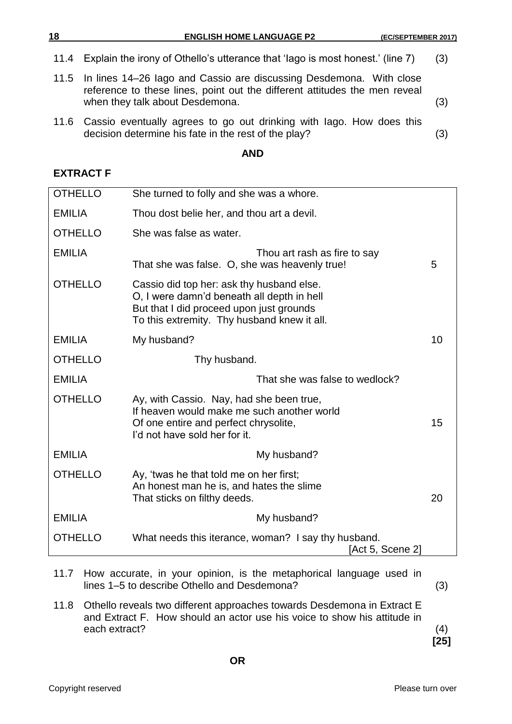| 11.5                                                                                                                        | In lines 14–26 lago and Cassio are discussing Desdemona. With close<br>reference to these lines, point out the different attitudes the men reveal<br>when they talk about Desdemona. |                                                                                                                                                                                    |     |
|-----------------------------------------------------------------------------------------------------------------------------|--------------------------------------------------------------------------------------------------------------------------------------------------------------------------------------|------------------------------------------------------------------------------------------------------------------------------------------------------------------------------------|-----|
| 11.6                                                                                                                        |                                                                                                                                                                                      | Cassio eventually agrees to go out drinking with lago. How does this<br>decision determine his fate in the rest of the play?                                                       | (3) |
|                                                                                                                             |                                                                                                                                                                                      | <b>AND</b>                                                                                                                                                                         |     |
|                                                                                                                             | <b>EXTRACT F</b>                                                                                                                                                                     |                                                                                                                                                                                    |     |
| <b>OTHELLO</b>                                                                                                              |                                                                                                                                                                                      | She turned to folly and she was a whore.                                                                                                                                           |     |
| <b>EMILIA</b>                                                                                                               |                                                                                                                                                                                      | Thou dost belie her, and thou art a devil.                                                                                                                                         |     |
| <b>OTHELLO</b>                                                                                                              |                                                                                                                                                                                      | She was false as water.                                                                                                                                                            |     |
| <b>EMILIA</b>                                                                                                               |                                                                                                                                                                                      | Thou art rash as fire to say<br>That she was false. O, she was heavenly true!                                                                                                      | 5   |
| <b>OTHELLO</b>                                                                                                              |                                                                                                                                                                                      | Cassio did top her: ask thy husband else.<br>O, I were damn'd beneath all depth in hell<br>But that I did proceed upon just grounds<br>To this extremity. Thy husband knew it all. |     |
| <b>EMILIA</b>                                                                                                               |                                                                                                                                                                                      | My husband?                                                                                                                                                                        | 10  |
| <b>OTHELLO</b>                                                                                                              |                                                                                                                                                                                      | Thy husband.                                                                                                                                                                       |     |
| <b>EMILIA</b>                                                                                                               |                                                                                                                                                                                      | That she was false to wedlock?                                                                                                                                                     |     |
| <b>OTHELLO</b>                                                                                                              |                                                                                                                                                                                      | Ay, with Cassio. Nay, had she been true,<br>If heaven would make me such another world<br>Of one entire and perfect chrysolite,<br>I'd not have sold her for it.                   | 15  |
| <b>EMILIA</b>                                                                                                               |                                                                                                                                                                                      | My husband?                                                                                                                                                                        |     |
| <b>OTHELLO</b>                                                                                                              |                                                                                                                                                                                      | Ay, 'twas he that told me on her first;<br>An honest man he is, and hates the slime<br>That sticks on filthy deeds.                                                                | 20  |
| <b>EMILIA</b>                                                                                                               |                                                                                                                                                                                      | My husband?                                                                                                                                                                        |     |
| <b>OTHELLO</b>                                                                                                              |                                                                                                                                                                                      | What needs this iterance, woman? I say thy husband.<br>[Act 5, Scene 2]                                                                                                            |     |
| How accurate, in your opinion, is the metaphorical language used in<br>11.7<br>lines 1–5 to describe Othello and Desdemona? |                                                                                                                                                                                      | (3)                                                                                                                                                                                |     |

**18 ENGLISH HOME LANGUAGE P2 (EC/SEPTEMBER 2017)**

11.4 Explain the irony of Othello's utterance that 'Iago is most honest.' (line 7) (3)

11.8 Othello reveals two different approaches towards Desdemona in Extract E and Extract F. How should an actor use his voice to show his attitude in each extract? (4)

**[25]**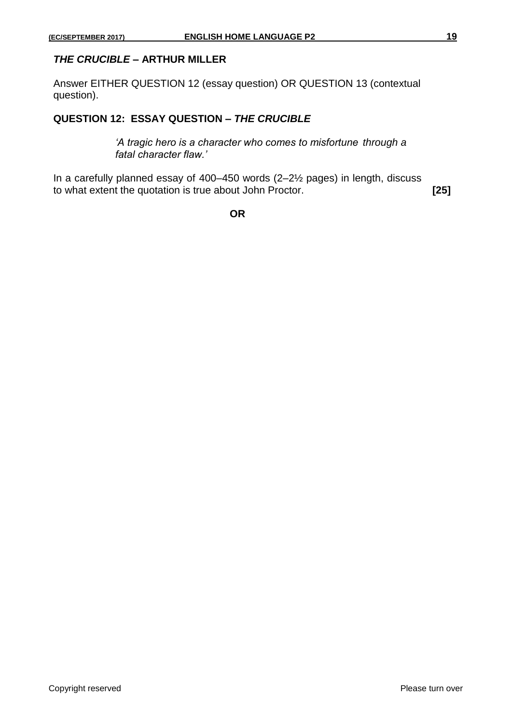#### *THE CRUCIBLE* **– ARTHUR MILLER**

Answer EITHER QUESTION 12 (essay question) OR QUESTION 13 (contextual question).

#### **QUESTION 12: ESSAY QUESTION –** *THE CRUCIBLE*

*'A tragic hero is a character who comes to misfortune through a fatal character flaw.'*

In a carefully planned essay of 400–450 words (2–2½ pages) in length, discuss to what extent the quotation is true about John Proctor. **[25]**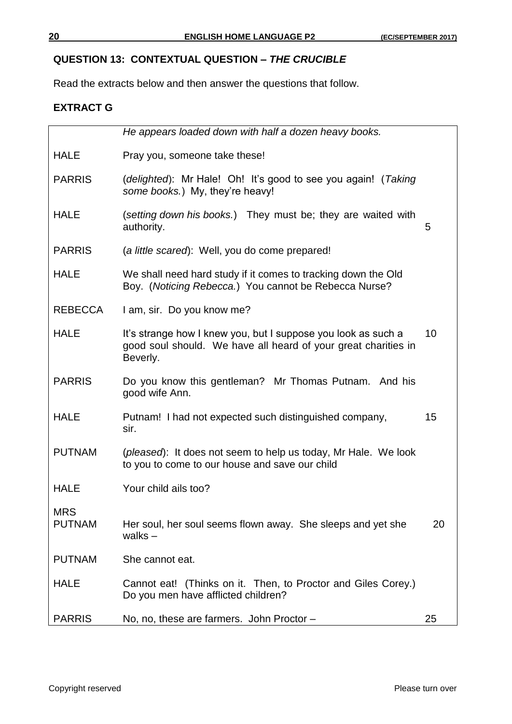#### **QUESTION 13: CONTEXTUAL QUESTION –** *THE CRUCIBLE*

Read the extracts below and then answer the questions that follow.

#### **EXTRACT G**

|                             | He appears loaded down with half a dozen heavy books.                                                                                       |    |
|-----------------------------|---------------------------------------------------------------------------------------------------------------------------------------------|----|
| <b>HALE</b>                 | Pray you, someone take these!                                                                                                               |    |
| <b>PARRIS</b>               | (delighted): Mr Hale! Oh! It's good to see you again! (Taking<br>some books.) My, they're heavy!                                            |    |
| <b>HALE</b>                 | (setting down his books.) They must be; they are waited with<br>authority.                                                                  | 5  |
| <b>PARRIS</b>               | (a little scared): Well, you do come prepared!                                                                                              |    |
| <b>HALE</b>                 | We shall need hard study if it comes to tracking down the Old<br>Boy. (Noticing Rebecca.) You cannot be Rebecca Nurse?                      |    |
| <b>REBECCA</b>              | I am, sir. Do you know me?                                                                                                                  |    |
| <b>HALE</b>                 | It's strange how I knew you, but I suppose you look as such a<br>good soul should. We have all heard of your great charities in<br>Beverly. | 10 |
| <b>PARRIS</b>               | Do you know this gentleman? Mr Thomas Putnam. And his<br>good wife Ann.                                                                     |    |
| <b>HALE</b>                 | Putnam! I had not expected such distinguished company,<br>sir.                                                                              | 15 |
| <b>PUTNAM</b>               | (pleased): It does not seem to help us today, Mr Hale. We look<br>to you to come to our house and save our child                            |    |
| <b>HALE</b>                 | Your child ails too?                                                                                                                        |    |
| <b>MRS</b><br><b>PUTNAM</b> | Her soul, her soul seems flown away. She sleeps and yet she<br>walks $-$                                                                    | 20 |
| <b>PUTNAM</b>               | She cannot eat.                                                                                                                             |    |
| <b>HALE</b>                 | Cannot eat! (Thinks on it. Then, to Proctor and Giles Corey.)<br>Do you men have afflicted children?                                        |    |
| <b>PARRIS</b>               | No, no, these are farmers. John Proctor -                                                                                                   | 25 |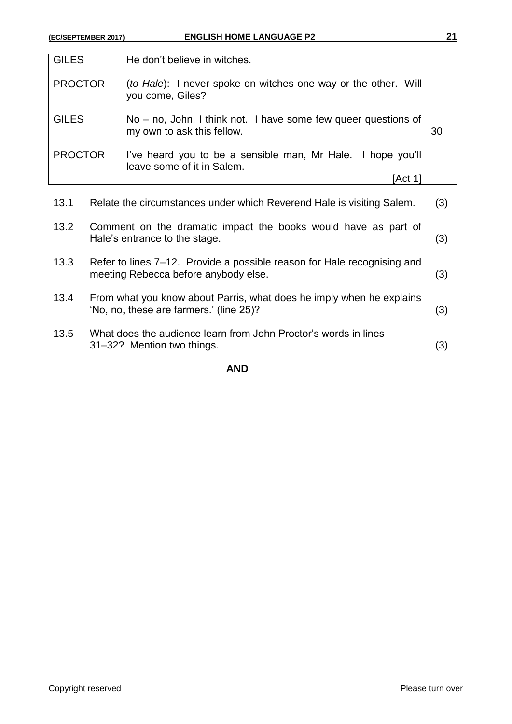| <b>GILES</b>   |                                                                                                                 | He don't believe in witches.                                                                    |     |
|----------------|-----------------------------------------------------------------------------------------------------------------|-------------------------------------------------------------------------------------------------|-----|
| <b>PROCTOR</b> |                                                                                                                 | (to Hale): I never spoke on witches one way or the other. Will<br>you come, Giles?              |     |
| <b>GILES</b>   |                                                                                                                 | $No - no$ , John, I think not. I have some few queer questions of<br>my own to ask this fellow. | 30  |
| <b>PROCTOR</b> |                                                                                                                 | I've heard you to be a sensible man, Mr Hale. I hope you'll<br>leave some of it in Salem.       |     |
|                |                                                                                                                 | [Act 1]                                                                                         |     |
| 13.1           |                                                                                                                 | Relate the circumstances under which Reverend Hale is visiting Salem.                           | (3) |
| 13.2           | Comment on the dramatic impact the books would have as part of<br>Hale's entrance to the stage.                 |                                                                                                 | (3) |
| 13.3           | Refer to lines 7-12. Provide a possible reason for Hale recognising and<br>meeting Rebecca before anybody else. |                                                                                                 | (3) |
| 13.4           | From what you know about Parris, what does he imply when he explains<br>'No, no, these are farmers.' (line 25)? |                                                                                                 | (3) |
| 13.5           |                                                                                                                 | What does the audience learn from John Proctor's words in lines<br>31-32? Mention two things.   | (3) |

**AND**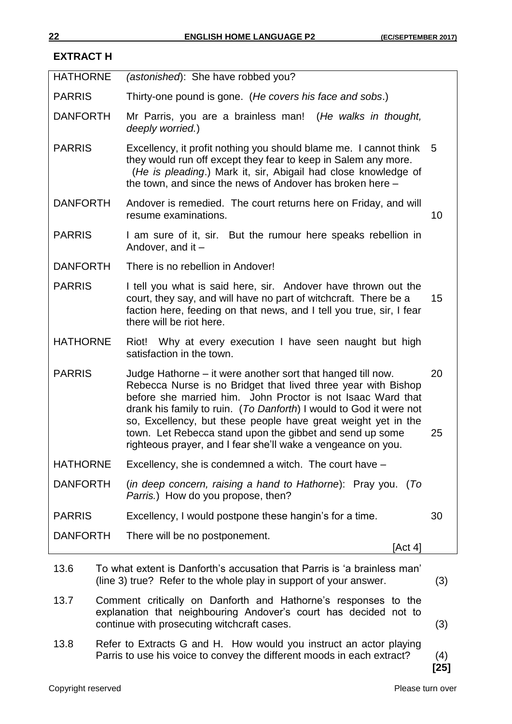# **EXTRACT H**

| <b>HATHORNE</b> | (astonished): She have robbed you?                                                                                                                                                                                                                                                                                                                                                                                                                             |          |
|-----------------|----------------------------------------------------------------------------------------------------------------------------------------------------------------------------------------------------------------------------------------------------------------------------------------------------------------------------------------------------------------------------------------------------------------------------------------------------------------|----------|
| <b>PARRIS</b>   | Thirty-one pound is gone. (He covers his face and sobs.)                                                                                                                                                                                                                                                                                                                                                                                                       |          |
| <b>DANFORTH</b> | Mr Parris, you are a brainless man! (He walks in thought,<br>deeply worried.)                                                                                                                                                                                                                                                                                                                                                                                  |          |
| <b>PARRIS</b>   | Excellency, it profit nothing you should blame me. I cannot think 5<br>they would run off except they fear to keep in Salem any more.<br>(He is pleading.) Mark it, sir, Abigail had close knowledge of<br>the town, and since the news of Andover has broken here -                                                                                                                                                                                           |          |
| <b>DANFORTH</b> | Andover is remedied. The court returns here on Friday, and will<br>resume examinations.                                                                                                                                                                                                                                                                                                                                                                        | 10       |
| <b>PARRIS</b>   | I am sure of it, sir. But the rumour here speaks rebellion in<br>Andover, and it -                                                                                                                                                                                                                                                                                                                                                                             |          |
| <b>DANFORTH</b> | There is no rebellion in Andover!                                                                                                                                                                                                                                                                                                                                                                                                                              |          |
| <b>PARRIS</b>   | I tell you what is said here, sir. Andover have thrown out the<br>court, they say, and will have no part of witchcraft. There be a<br>faction here, feeding on that news, and I tell you true, sir, I fear<br>there will be riot here.                                                                                                                                                                                                                         | 15       |
| <b>HATHORNE</b> | Riot! Why at every execution I have seen naught but high<br>satisfaction in the town.                                                                                                                                                                                                                                                                                                                                                                          |          |
| <b>PARRIS</b>   | Judge Hathorne – it were another sort that hanged till now.<br>Rebecca Nurse is no Bridget that lived three year with Bishop<br>before she married him. John Proctor is not Isaac Ward that<br>drank his family to ruin. (To Danforth) I would to God it were not<br>so, Excellency, but these people have great weight yet in the<br>town. Let Rebecca stand upon the gibbet and send up some<br>righteous prayer, and I fear she'll wake a vengeance on you. | 20<br>25 |
| <b>HATHORNE</b> | Excellency, she is condemned a witch. The court have -                                                                                                                                                                                                                                                                                                                                                                                                         |          |
| <b>DANFORTH</b> | (in deep concern, raising a hand to Hathorne): Pray you. (To<br>Parris.) How do you propose, then?                                                                                                                                                                                                                                                                                                                                                             |          |
| <b>PARRIS</b>   | Excellency, I would postpone these hangin's for a time.                                                                                                                                                                                                                                                                                                                                                                                                        | 30       |
| <b>DANFORTH</b> | There will be no postponement.<br>[Act 4]                                                                                                                                                                                                                                                                                                                                                                                                                      |          |

- 13.6 To what extent is Danforth's accusation that Parris is 'a brainless man' (line 3) true? Refer to the whole play in support of your answer. (3)
- 13.7 Comment critically on Danforth and Hathorne's responses to the explanation that neighbouring Andover's court has decided not to continue with prosecuting witchcraft cases. (3)
- 13.8 Refer to Extracts G and H. How would you instruct an actor playing Parris to use his voice to convey the different moods in each extract? (4)

**[25]**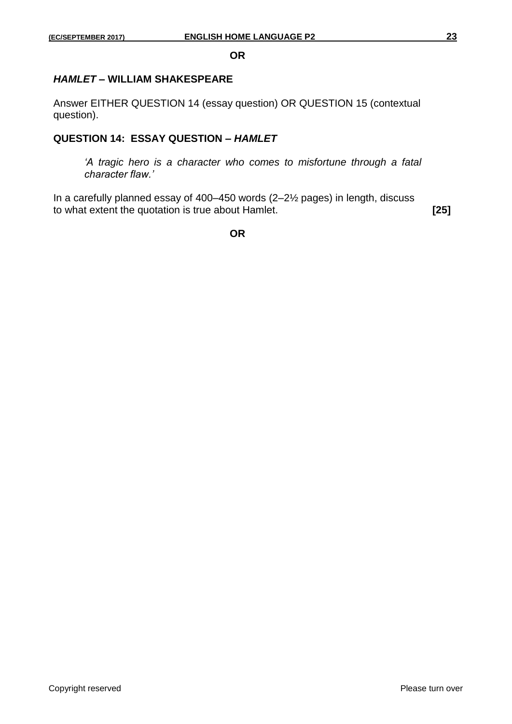#### **OR**

#### *HAMLET* **– WILLIAM SHAKESPEARE**

Answer EITHER QUESTION 14 (essay question) OR QUESTION 15 (contextual question).

#### **QUESTION 14: ESSAY QUESTION –** *HAMLET*

*'A tragic hero is a character who comes to misfortune through a fatal character flaw.'*

In a carefully planned essay of 400–450 words (2–2½ pages) in length, discuss to what extent the quotation is true about Hamlet. **[25]**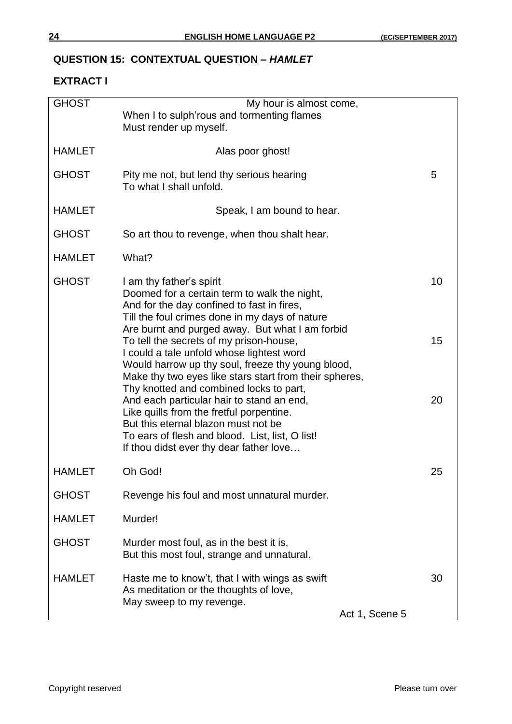#### **QUESTION 15: CONTEXTUAL QUESTION –** *HAMLET*

# **EXTRACT I**

| <b>GHOST</b>  | My hour is almost come,<br>When I to sulph'rous and tormenting flames<br>Must render up myself.                                                                                                                                                                                                   |                |
|---------------|---------------------------------------------------------------------------------------------------------------------------------------------------------------------------------------------------------------------------------------------------------------------------------------------------|----------------|
| <b>HAMLET</b> | Alas poor ghost!                                                                                                                                                                                                                                                                                  |                |
| <b>GHOST</b>  | Pity me not, but lend thy serious hearing<br>To what I shall unfold.                                                                                                                                                                                                                              | 5              |
| <b>HAMLET</b> | Speak, I am bound to hear.                                                                                                                                                                                                                                                                        |                |
| <b>GHOST</b>  | So art thou to revenge, when thou shalt hear.                                                                                                                                                                                                                                                     |                |
| <b>HAMLET</b> | What?                                                                                                                                                                                                                                                                                             |                |
| <b>GHOST</b>  | I am thy father's spirit<br>Doomed for a certain term to walk the night,<br>And for the day confined to fast in fires,<br>Till the foul crimes done in my days of nature                                                                                                                          | 10             |
|               | Are burnt and purged away. But what I am forbid<br>To tell the secrets of my prison-house,<br>I could a tale unfold whose lightest word<br>Would harrow up thy soul, freeze thy young blood,<br>Make thy two eyes like stars start from their spheres,<br>Thy knotted and combined locks to part, | 15             |
|               | And each particular hair to stand an end,<br>Like quills from the fretful porpentine.<br>But this eternal blazon must not be<br>To ears of flesh and blood. List, list, O list!<br>If thou didst ever thy dear father love                                                                        | 20             |
| <b>HAMLET</b> | Oh God!                                                                                                                                                                                                                                                                                           | 25             |
| <b>GHOST</b>  | Revenge his foul and most unnatural murder.                                                                                                                                                                                                                                                       |                |
| <b>HAMLET</b> | Murder!                                                                                                                                                                                                                                                                                           |                |
| <b>GHOST</b>  | Murder most foul, as in the best it is,<br>But this most foul, strange and unnatural.                                                                                                                                                                                                             |                |
| <b>HAMLET</b> | Haste me to know't, that I with wings as swift<br>As meditation or the thoughts of love,<br>May sweep to my revenge.                                                                                                                                                                              | 30             |
|               |                                                                                                                                                                                                                                                                                                   | Act 1, Scene 5 |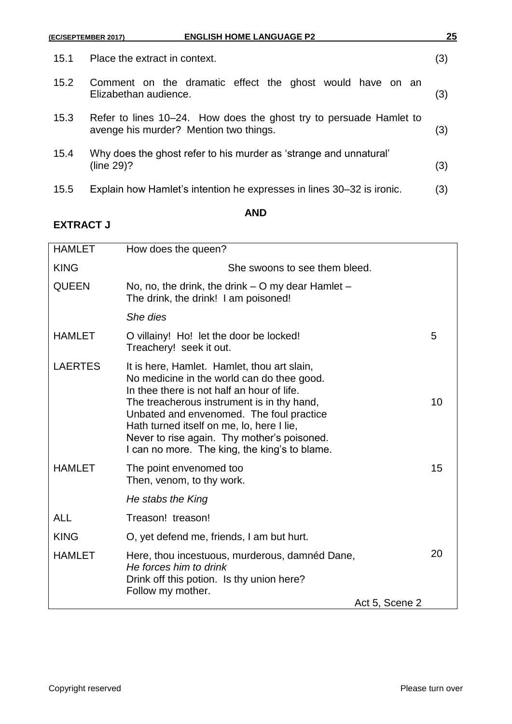|      | <b>ENGLISH HOME LANGUAGE P2</b><br>(EC/SEPTEMBER 2017)                                                       | 25  |
|------|--------------------------------------------------------------------------------------------------------------|-----|
| 15.1 | Place the extract in context.                                                                                | (3) |
| 15.2 | Comment on the dramatic effect the ghost would have on an<br>Elizabethan audience.                           | (3) |
| 15.3 | Refer to lines 10–24. How does the ghost try to persuade Hamlet to<br>avenge his murder? Mention two things. | (3) |
| 15.4 | Why does the ghost refer to his murder as 'strange and unnatural'<br>(line 29)?                              | (3) |
| 15.5 | Explain how Hamlet's intention he expresses in lines 30–32 is ironic.                                        | (3) |

# **AND**

# **EXTRACT J**

| <b>HAMLET</b>  | How does the queen?                                                                                                                                                                                                                                                                                                                                                            |                |  |
|----------------|--------------------------------------------------------------------------------------------------------------------------------------------------------------------------------------------------------------------------------------------------------------------------------------------------------------------------------------------------------------------------------|----------------|--|
| <b>KING</b>    | She swoons to see them bleed.                                                                                                                                                                                                                                                                                                                                                  |                |  |
| <b>QUEEN</b>   | No, no, the drink, the drink $-$ O my dear Hamlet $-$<br>The drink, the drink! I am poisoned!                                                                                                                                                                                                                                                                                  |                |  |
|                | She dies                                                                                                                                                                                                                                                                                                                                                                       |                |  |
| <b>HAMLET</b>  | O villainy! Ho! let the door be locked!<br>Treachery! seek it out.                                                                                                                                                                                                                                                                                                             | 5              |  |
| <b>LAERTES</b> | It is here, Hamlet. Hamlet, thou art slain,<br>No medicine in the world can do thee good.<br>In thee there is not half an hour of life.<br>The treacherous instrument is in thy hand,<br>Unbated and envenomed. The foul practice<br>Hath turned itself on me, lo, here I lie,<br>Never to rise again. Thy mother's poisoned.<br>I can no more. The king, the king's to blame. | 10             |  |
| <b>HAMLET</b>  | The point envenomed too<br>Then, venom, to thy work.                                                                                                                                                                                                                                                                                                                           | 15             |  |
|                | He stabs the King                                                                                                                                                                                                                                                                                                                                                              |                |  |
| <b>ALL</b>     | Treason! treason!                                                                                                                                                                                                                                                                                                                                                              |                |  |
| <b>KING</b>    | O, yet defend me, friends, I am but hurt.                                                                                                                                                                                                                                                                                                                                      |                |  |
| <b>HAMLET</b>  | Here, thou incestuous, murderous, damnéd Dane,<br>He forces him to drink<br>Drink off this potion. Is thy union here?<br>Follow my mother.                                                                                                                                                                                                                                     | 20             |  |
|                |                                                                                                                                                                                                                                                                                                                                                                                | Act 5, Scene 2 |  |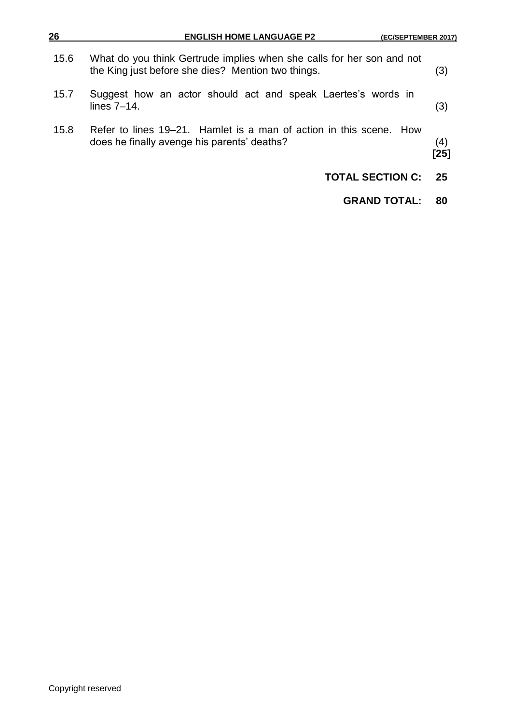| 26   | <b>ENGLISH HOME LANGUAGE P2</b><br>(EC/SEPTEMBER 2017)                                                                      |             |
|------|-----------------------------------------------------------------------------------------------------------------------------|-------------|
| 15.6 | What do you think Gertrude implies when she calls for her son and not<br>the King just before she dies? Mention two things. | (3)         |
| 15.7 | Suggest how an actor should act and speak Laertes's words in<br>lines $7-14$ .                                              | (3)         |
| 15.8 | Refer to lines 19–21. Hamlet is a man of action in this scene. How<br>does he finally avenge his parents' deaths?           | (4)<br>[25] |
|      | <b>TOTAL SECTION C:</b>                                                                                                     | 25          |
|      | <b>GRAND TOTAL:</b>                                                                                                         | 80          |